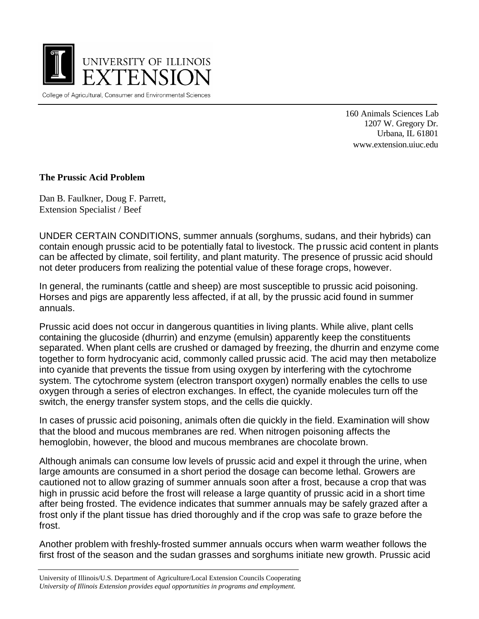

College of Agricultural, Consumer and Environmental Sciences

160 Animals Sciences Lab 1207 W. Gregory Dr. Urbana, IL 61801 www.extension.uiuc.edu

## **The Prussic Acid Problem**

Dan B. Faulkner, Doug F. Parrett, Extension Specialist / Beef

UNDER CERTAIN CONDITIONS, summer annuals (sorghums, sudans, and their hybrids) can contain enough prussic acid to be potentially fatal to livestock. The prussic acid content in plants can be affected by climate, soil fertility, and plant maturity. The presence of prussic acid should not deter producers from realizing the potential value of these forage crops, however.

In general, the ruminants (cattle and sheep) are most susceptible to prussic acid poisoning. Horses and pigs are apparently less affected, if at all, by the prussic acid found in summer annuals.

Prussic acid does not occur in dangerous quantities in living plants. While alive, plant cells containing the glucoside (dhurrin) and enzyme (emulsin) apparently keep the constituents separated. When plant cells are crushed or damaged by freezing, the dhurrin and enzyme come together to form hydrocyanic acid, commonly called prussic acid. The acid may then metabolize into cyanide that prevents the tissue from using oxygen by interfering with the cytochrome system. The cytochrome system (electron transport oxygen) normally enables the cells to use oxygen through a series of electron exchanges. In effect, the cyanide molecules turn off the switch, the energy transfer system stops, and the cells die quickly.

In cases of prussic acid poisoning, animals often die quickly in the field. Examination will show that the blood and mucous membranes are red. When nitrogen poisoning affects the hemoglobin, however, the blood and mucous membranes are chocolate brown.

Although animals can consume low levels of prussic acid and expel it through the urine, when large amounts are consumed in a short period the dosage can become lethal. Growers are cautioned not to allow grazing of summer annuals soon after a frost, because a crop that was high in prussic acid before the frost will release a large quantity of prussic acid in a short time after being frosted. The evidence indicates that summer annuals may be safely grazed after a frost only if the plant tissue has dried thoroughly and if the crop was safe to graze before the frost.

Another problem with freshly-frosted summer annuals occurs when warm weather follows the first frost of the season and the sudan grasses and sorghums initiate new growth. Prussic acid